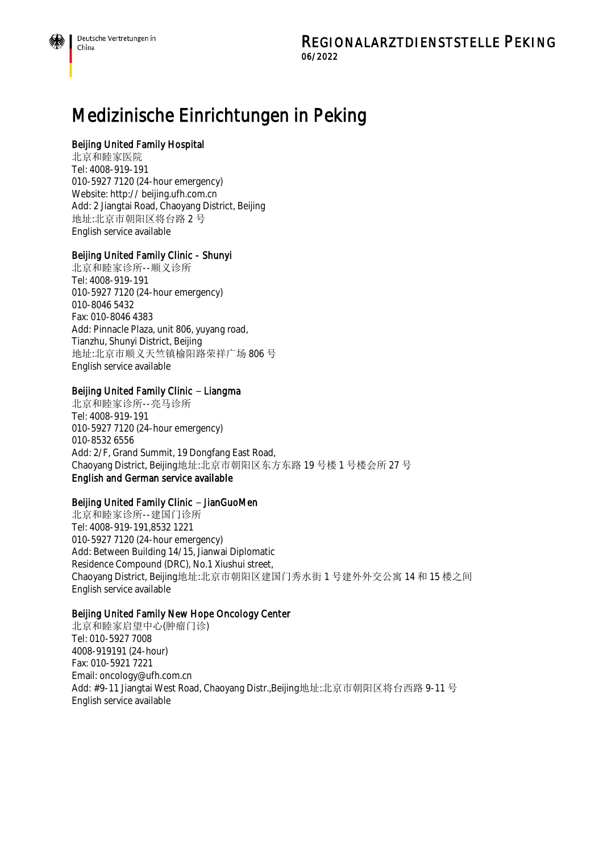# Medizinische Einrichtungen in Peking

# Beijing United Family Hospital

北京和睦家医院 Tel: 4008-919-191 010-5927 7120 (24-hour emergency) Website: http:// beijing.ufh.com.cn Add: 2 Jiangtai Road, Chaoyang District, Beijing 地址:北京市朝阳区将台路 2 号 English service available

# Beijing United Family Clinic - Shunyi

北京和睦家诊所--顺义诊所 Tel: 4008-919-191 010-5927 7120 (24-hour emergency) 010-8046 5432 Fax: 010-8046 4383 Add: Pinnacle Plaza, unit 806, yuyang road, Tianzhu, Shunyi District, Beijing 地址:北京市顺义天竺镇榆阳路荣祥广场 806 号 English service available

# Beijing United Family Clinic - Liangma

北京和睦家诊所--亮马诊所 Tel: 4008-919-191 010-5927 7120 (24-hour emergency) 010-8532 6556 Add: 2/F, Grand Summit, 19 Dongfang East Road, Chaoyang District, Beijing地址:北京市朝阳区东方东路 19 号楼 1 号楼会所 27 号 English and German service available

# Beijing United Family Clinic - JianGuoMen

北京和睦家诊所--建国门诊所 Tel: 4008-919-191,8532 1221 010-5927 7120 (24-hour emergency) Add: Between Building 14/15, Jianwai Diplomatic Residence Compound (DRC), No.1 Xiushui street, Chaoyang District, Beijing地址:北京市朝阳区建国门秀水街 1 号建外外交公寓 14 和 15 楼之间 English service available

# Beijing United Family New Hope Oncology Center

北京和睦家启望中心(肿瘤门诊) Tel: 010-5927 7008 4008-919191 (24-hour) Fax: 010-5921 7221 Email: oncology@ufh.com.cn Add: #9-11 Jiangtai West Road, Chaoyang Distr.,Beijing地址:北京市朝阳区将台西路 9-11 号 English service available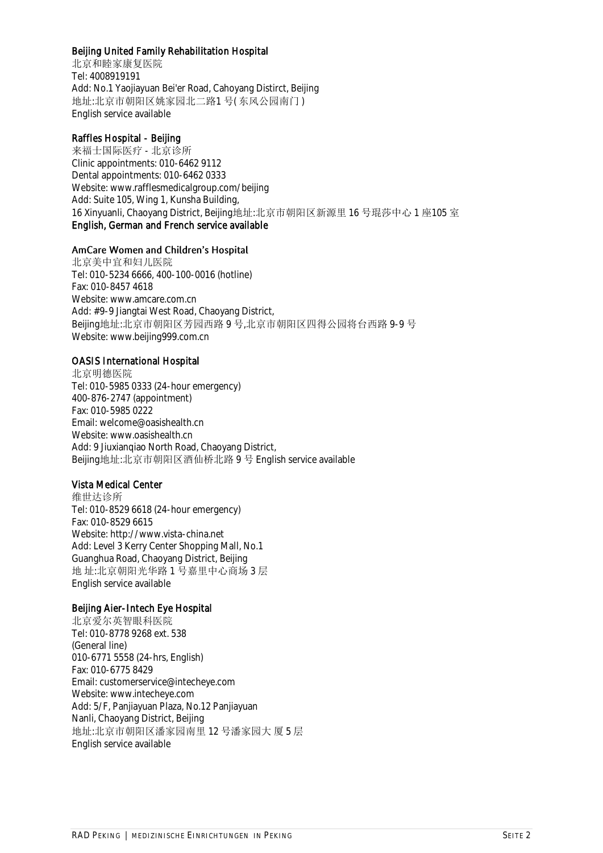# Beijing United Family Rehabilitation Hospital

北京和睦家康复医院 Tel: 4008919191 Add: No.1 Yaojiayuan Bei'er Road, Cahoyang Distirct, Beijing 地址:北京市朝阳区姚家园北二路1 号( 东风公园南门 ) English service available

# Raffles Hospital - Beijing

来福士国际医疗 - 北京诊所 Clinic appointments: 010-6462 9112 Dental appointments: 010-6462 0333 Website: www.rafflesmedicalgroup.com/beijing Add: Suite 105, Wing 1, Kunsha Building, 16 Xinyuanli, Chaoyang District, Beijing地址:北京市朝阳区新源里 16 号琨莎中心 1 座105 室 English, German and French service available

#### AmCare Women and Children's Hospital

北京美中宜和妇儿医院 Tel: 010-5234 6666, 400-100-0016 (hotline) Fax: 010-8457 4618 Website: www.amcare.com.cn Add: #9-9 Jiangtai West Road, Chaoyang District, Beijing地址:北京市朝阳区芳园西路 9 号,北京市朝阳区四得公园将台西路 9-9 号 Website: www.beijing999.com.cn

# OASIS International Hospital

北京明德医院 Tel: 010-5985 0333 (24-hour emergency) 400-876-2747 (appointment) Fax: 010-5985 0222 Email: welcome@oasishealth.cn Website: www.oasishealth.cn Add: 9 Jiuxianqiao North Road, Chaoyang District, Beijing地址:北京市朝阳区酒仙桥北路 9 号 English service available

# Vista Medical Center

维世达诊所 Tel: 010-8529 6618 (24-hour emergency) Fax: 010-8529 6615 Website: http://www.vista-china.net Add: Level 3 Kerry Center Shopping Mall, No.1 Guanghua Road, Chaoyang District, Beijing 地 址:北京朝阳光华路 1 号嘉里中心商场 3 层 English service available

# Beijing Aier-Intech Eye Hospital

北京爱尔英智眼科医院 Tel: 010-8778 9268 ext. 538 (General line) 010-6771 5558 (24-hrs, English) Fax: 010-6775 8429 Email: customerservice@intecheye.com Website: www.intecheye.com Add: 5/F, Panjiayuan Plaza, No.12 Panjiayuan Nanli, Chaoyang District, Beijing 地址:北京市朝阳区潘家园南里 12 号潘家园大 厦 5 层 English service available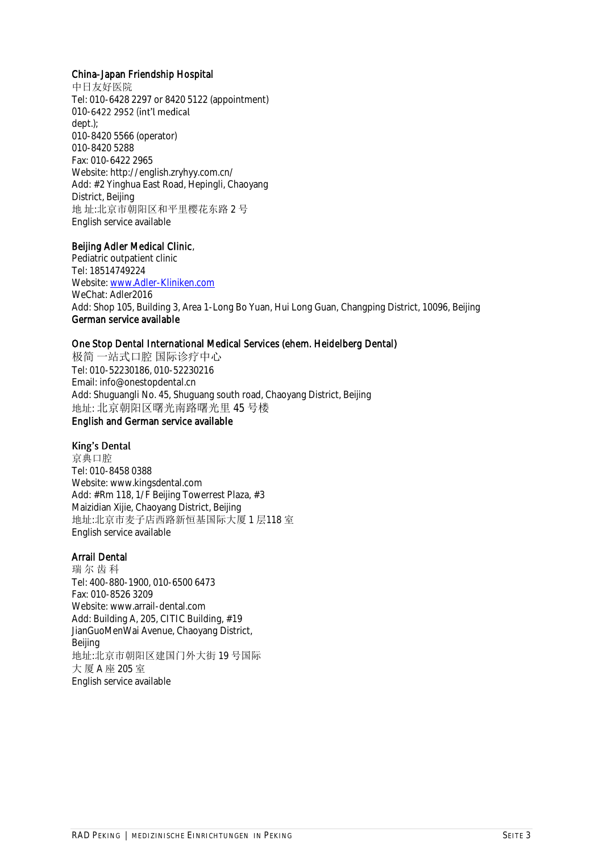#### China-Japan Friendship Hospital

中日友好医院 Tel: 010-6428 2297 or 8420 5122 (appointment) 010-6422 2952 (int'l medical dept.); 010-8420 5566 (operator) 010-8420 5288 Fax: 010-6422 2965 Website: http://english.zryhyy.com.cn/ Add: #2 Yinghua East Road, Hepingli, Chaoyang District, Beijing 地 址:北京市朝阳区和平里樱花东路 2 号 English service available

#### Beijing Adler Medical Clinic,

Pediatric outpatient clinic Tel: 18514749224 Website: [www.Adler-Kliniken.com](http://www.adler-kliniken.com/) WeChat: Adler2016 Add: Shop 105, Building 3, Area 1-Long Bo Yuan, Hui Long Guan, Changping District, 10096, Beijing German service available

# One Stop Dental International Medical Services (ehem. Heidelberg Dental)

极简 一站式口腔 国际诊疗中心 Tel: 010-52230186, 010-52230216 Email: info@onestopdental.cn Add: Shuguangli No. 45, Shuguang south road, Chaoyang District, Beijing 地址: 北京朝阳区曙光南路曙光里 45 号楼 English and German service available

# King's Dental

京典口腔 Tel: 010-8458 0388 Website: www.kingsdental.com Add: #Rm 118, 1/F Beijing Towerrest Plaza, #3 Maizidian Xijie, Chaoyang District, Beijing 地址:北京市麦子店西路新恒基国际大厦 1 层118 室 English service available

# Arrail Dental

瑞 尔 齿 科 Tel: 400-880-1900, 010-6500 6473 Fax: 010-8526 3209 Website: www.arrail-dental.com Add: Building A, 205, CITIC Building, #19 JianGuoMenWai Avenue, Chaoyang District, Beijing 地址:北京市朝阳区建国门外大街 19 号国际 大 厦 A 座 205 室 English service available